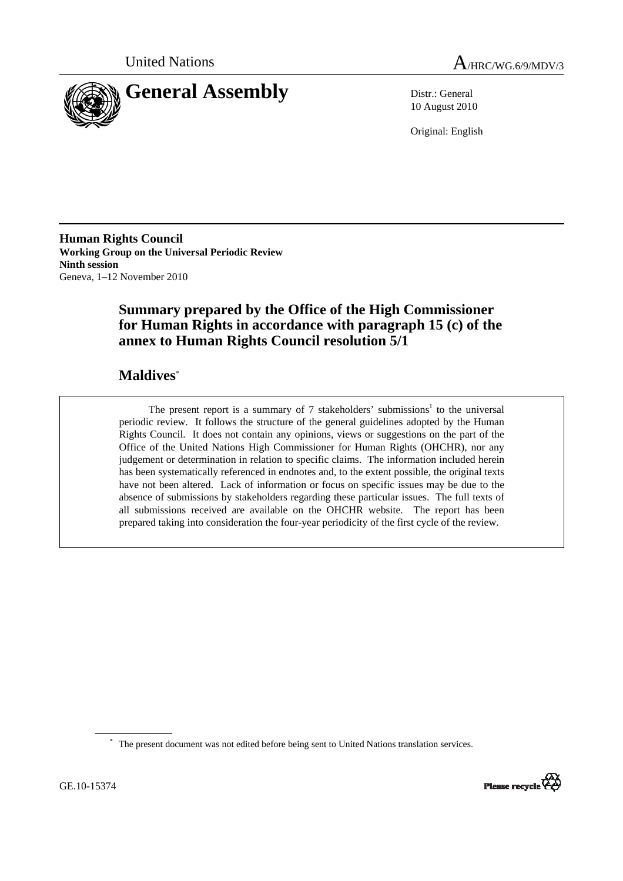



10 August 2010

Original: English

**Human Rights Council Working Group on the Universal Periodic Review Ninth session**  Geneva, 1–12 November 2010

# **Summary prepared by the Office of the High Commissioner for Human Rights in accordance with paragraph 15 (c) of the annex to Human Rights Council resolution 5/1**

# **Maldives**\*

The present report is a summary of  $7$  stakeholders' submissions<sup>1</sup> to the universal periodic review. It follows the structure of the general guidelines adopted by the Human Rights Council. It does not contain any opinions, views or suggestions on the part of the Office of the United Nations High Commissioner for Human Rights (OHCHR), nor any judgement or determination in relation to specific claims. The information included herein has been systematically referenced in endnotes and, to the extent possible, the original texts have not been altered. Lack of information or focus on specific issues may be due to the absence of submissions by stakeholders regarding these particular issues. The full texts of all submissions received are available on the OHCHR website. The report has been prepared taking into consideration the four-year periodicity of the first cycle of the review.

\* The present document was not edited before being sent to United Nations translation services.

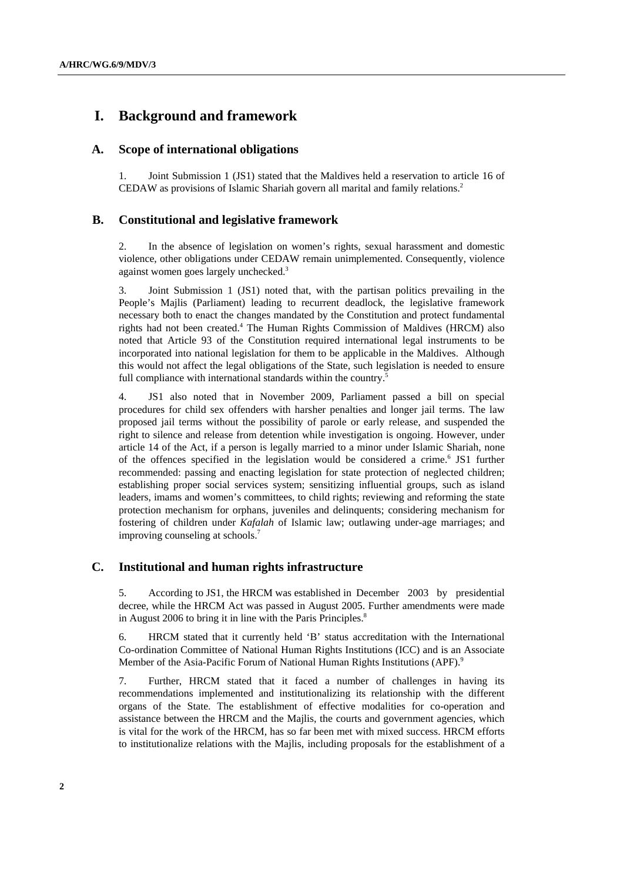# **I. Background and framework**

### **A. Scope of international obligations**

1. Joint Submission 1 (JS1) stated that the Maldives held a reservation to article 16 of CEDAW as provisions of Islamic Shariah govern all marital and family relations.2

### **B. Constitutional and legislative framework**

2. In the absence of legislation on women's rights, sexual harassment and domestic violence, other obligations under CEDAW remain unimplemented. Consequently, violence against women goes largely unchecked.3

3. Joint Submission 1 (JS1) noted that, with the partisan politics prevailing in the People's Majlis (Parliament) leading to recurrent deadlock, the legislative framework necessary both to enact the changes mandated by the Constitution and protect fundamental rights had not been created.<sup>4</sup> The Human Rights Commission of Maldives (HRCM) also noted that Article 93 of the Constitution required international legal instruments to be incorporated into national legislation for them to be applicable in the Maldives. Although this would not affect the legal obligations of the State, such legislation is needed to ensure full compliance with international standards within the country.<sup>5</sup>

4. JS1 also noted that in November 2009, Parliament passed a bill on special procedures for child sex offenders with harsher penalties and longer jail terms. The law proposed jail terms without the possibility of parole or early release, and suspended the right to silence and release from detention while investigation is ongoing. However, under article 14 of the Act, if a person is legally married to a minor under Islamic Shariah, none of the offences specified in the legislation would be considered a crime.<sup>6</sup> JS1 further recommended: passing and enacting legislation for state protection of neglected children; establishing proper social services system; sensitizing influential groups, such as island leaders, imams and women's committees, to child rights; reviewing and reforming the state protection mechanism for orphans, juveniles and delinquents; considering mechanism for fostering of children under *Kafalah* of Islamic law; outlawing under-age marriages; and improving counseling at schools.7

### **C. Institutional and human rights infrastructure**

5. According to JS1, the HRCM was established in December 2003 by presidential decree, while the HRCM Act was passed in August 2005. Further amendments were made in August 2006 to bring it in line with the Paris Principles.<sup>8</sup>

6. HRCM stated that it currently held 'B' status accreditation with the International Co-ordination Committee of National Human Rights Institutions (ICC) and is an Associate Member of the Asia-Pacific Forum of National Human Rights Institutions (APF).<sup>9</sup>

7. Further, HRCM stated that it faced a number of challenges in having its recommendations implemented and institutionalizing its relationship with the different organs of the State. The establishment of effective modalities for co-operation and assistance between the HRCM and the Majlis, the courts and government agencies, which is vital for the work of the HRCM, has so far been met with mixed success. HRCM efforts to institutionalize relations with the Majlis, including proposals for the establishment of a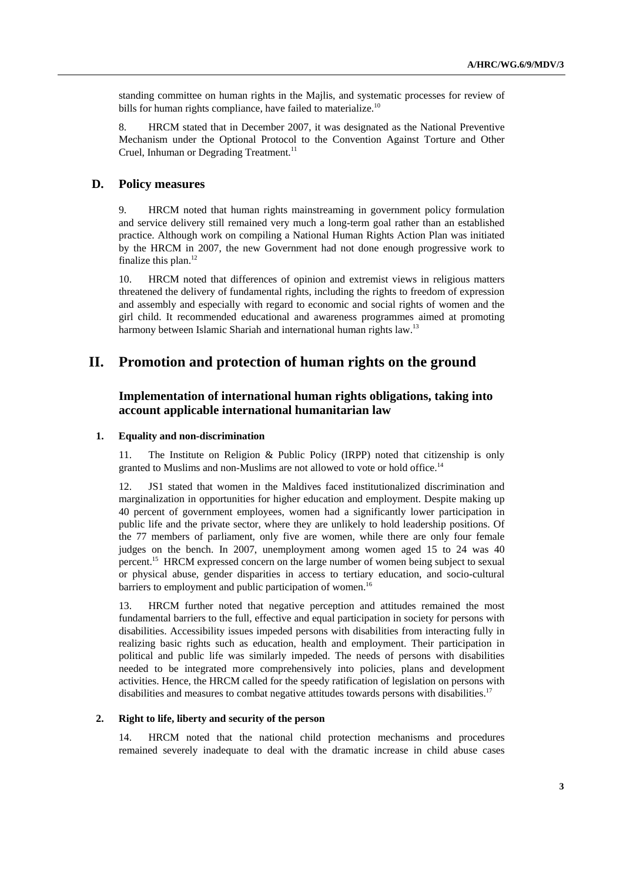standing committee on human rights in the Majlis, and systematic processes for review of bills for human rights compliance, have failed to materialize.<sup>10</sup>

8. HRCM stated that in December 2007, it was designated as the National Preventive Mechanism under the Optional Protocol to the Convention Against Torture and Other Cruel, Inhuman or Degrading Treatment.<sup>11</sup>

### **D. Policy measures**

9. HRCM noted that human rights mainstreaming in government policy formulation and service delivery still remained very much a long-term goal rather than an established practice. Although work on compiling a National Human Rights Action Plan was initiated by the HRCM in 2007, the new Government had not done enough progressive work to finalize this plan.<sup>12</sup>

10. HRCM noted that differences of opinion and extremist views in religious matters threatened the delivery of fundamental rights, including the rights to freedom of expression and assembly and especially with regard to economic and social rights of women and the girl child. It recommended educational and awareness programmes aimed at promoting harmony between Islamic Shariah and international human rights law.<sup>13</sup>

### **II. Promotion and protection of human rights on the ground**

### **Implementation of international human rights obligations, taking into account applicable international humanitarian law**

#### **1. Equality and non-discrimination**

The Institute on Religion  $&$  Public Policy (IRPP) noted that citizenship is only granted to Muslims and non-Muslims are not allowed to vote or hold office.<sup>14</sup>

12. JS1 stated that women in the Maldives faced institutionalized discrimination and marginalization in opportunities for higher education and employment. Despite making up 40 percent of government employees, women had a significantly lower participation in public life and the private sector, where they are unlikely to hold leadership positions. Of the 77 members of parliament, only five are women, while there are only four female judges on the bench. In 2007, unemployment among women aged 15 to 24 was 40 percent.15 HRCM expressed concern on the large number of women being subject to sexual or physical abuse, gender disparities in access to tertiary education, and socio-cultural barriers to employment and public participation of women.<sup>16</sup>

13. HRCM further noted that negative perception and attitudes remained the most fundamental barriers to the full, effective and equal participation in society for persons with disabilities. Accessibility issues impeded persons with disabilities from interacting fully in realizing basic rights such as education, health and employment. Their participation in political and public life was similarly impeded. The needs of persons with disabilities needed to be integrated more comprehensively into policies, plans and development activities. Hence, the HRCM called for the speedy ratification of legislation on persons with disabilities and measures to combat negative attitudes towards persons with disabilities.<sup>17</sup>

#### **2. Right to life, liberty and security of the person**

14. HRCM noted that the national child protection mechanisms and procedures remained severely inadequate to deal with the dramatic increase in child abuse cases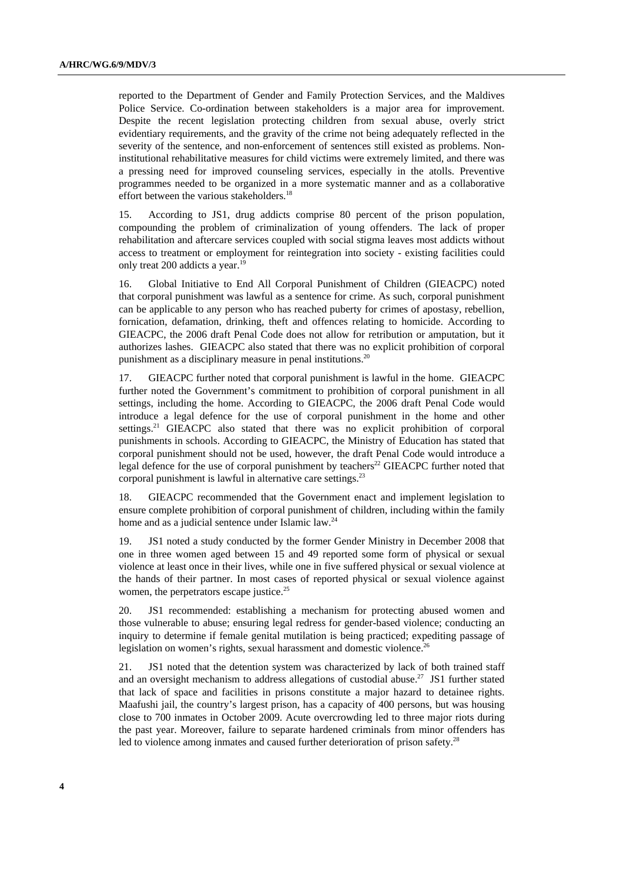reported to the Department of Gender and Family Protection Services, and the Maldives Police Service. Co-ordination between stakeholders is a major area for improvement. Despite the recent legislation protecting children from sexual abuse, overly strict evidentiary requirements, and the gravity of the crime not being adequately reflected in the severity of the sentence, and non-enforcement of sentences still existed as problems. Noninstitutional rehabilitative measures for child victims were extremely limited, and there was a pressing need for improved counseling services, especially in the atolls. Preventive programmes needed to be organized in a more systematic manner and as a collaborative effort between the various stakeholders.<sup>18</sup>

15. According to JS1, drug addicts comprise 80 percent of the prison population, compounding the problem of criminalization of young offenders. The lack of proper rehabilitation and aftercare services coupled with social stigma leaves most addicts without access to treatment or employment for reintegration into society - existing facilities could only treat 200 addicts a year.<sup>19</sup>

16. Global Initiative to End All Corporal Punishment of Children (GIEACPC) noted that corporal punishment was lawful as a sentence for crime. As such, corporal punishment can be applicable to any person who has reached puberty for crimes of apostasy, rebellion, fornication, defamation, drinking, theft and offences relating to homicide. According to GIEACPC, the 2006 draft Penal Code does not allow for retribution or amputation, but it authorizes lashes. GIEACPC also stated that there was no explicit prohibition of corporal punishment as a disciplinary measure in penal institutions.<sup>20</sup>

17. GIEACPC further noted that corporal punishment is lawful in the home. GIEACPC further noted the Government's commitment to prohibition of corporal punishment in all settings, including the home. According to GIEACPC, the 2006 draft Penal Code would introduce a legal defence for the use of corporal punishment in the home and other settings.<sup>21</sup> GIEACPC also stated that there was no explicit prohibition of corporal punishments in schools. According to GIEACPC, the Ministry of Education has stated that corporal punishment should not be used, however, the draft Penal Code would introduce a legal defence for the use of corporal punishment by teachers<sup>22</sup> GIEACPC further noted that corporal punishment is lawful in alternative care settings.<sup>23</sup>

18. GIEACPC recommended that the Government enact and implement legislation to ensure complete prohibition of corporal punishment of children, including within the family home and as a judicial sentence under Islamic law.<sup>24</sup>

19. JS1 noted a study conducted by the former Gender Ministry in December 2008 that one in three women aged between 15 and 49 reported some form of physical or sexual violence at least once in their lives, while one in five suffered physical or sexual violence at the hands of their partner. In most cases of reported physical or sexual violence against women, the perpetrators escape justice.<sup>25</sup>

20. JS1 recommended: establishing a mechanism for protecting abused women and those vulnerable to abuse; ensuring legal redress for gender-based violence; conducting an inquiry to determine if female genital mutilation is being practiced; expediting passage of legislation on women's rights, sexual harassment and domestic violence.<sup>26</sup>

21. JS1 noted that the detention system was characterized by lack of both trained staff and an oversight mechanism to address allegations of custodial abuse.<sup>27</sup> JS1 further stated that lack of space and facilities in prisons constitute a major hazard to detainee rights. Maafushi jail, the country's largest prison, has a capacity of 400 persons, but was housing close to 700 inmates in October 2009. Acute overcrowding led to three major riots during the past year. Moreover, failure to separate hardened criminals from minor offenders has led to violence among inmates and caused further deterioration of prison safety.<sup>28</sup>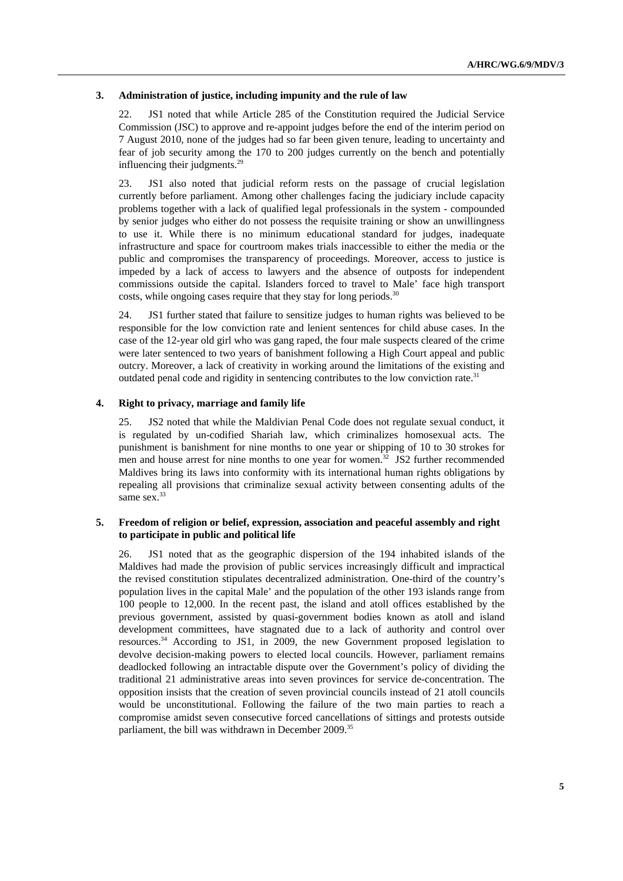#### **3. Administration of justice, including impunity and the rule of law**

22. JS1 noted that while Article 285 of the Constitution required the Judicial Service Commission (JSC) to approve and re-appoint judges before the end of the interim period on 7 August 2010, none of the judges had so far been given tenure, leading to uncertainty and fear of job security among the 170 to 200 judges currently on the bench and potentially influencing their judgments.<sup>29</sup>

23. JS1 also noted that judicial reform rests on the passage of crucial legislation currently before parliament. Among other challenges facing the judiciary include capacity problems together with a lack of qualified legal professionals in the system - compounded by senior judges who either do not possess the requisite training or show an unwillingness to use it. While there is no minimum educational standard for judges, inadequate infrastructure and space for courtroom makes trials inaccessible to either the media or the public and compromises the transparency of proceedings. Moreover, access to justice is impeded by a lack of access to lawyers and the absence of outposts for independent commissions outside the capital. Islanders forced to travel to Male' face high transport costs, while ongoing cases require that they stay for long periods.<sup>30</sup>

24. JS1 further stated that failure to sensitize judges to human rights was believed to be responsible for the low conviction rate and lenient sentences for child abuse cases. In the case of the 12-year old girl who was gang raped, the four male suspects cleared of the crime were later sentenced to two years of banishment following a High Court appeal and public outcry. Moreover, a lack of creativity in working around the limitations of the existing and outdated penal code and rigidity in sentencing contributes to the low conviction rate.31

#### **4. Right to privacy, marriage and family life**

25. JS2 noted that while the Maldivian Penal Code does not regulate sexual conduct, it is regulated by un-codified Shariah law, which criminalizes homosexual acts. The punishment is banishment for nine months to one year or shipping of 10 to 30 strokes for men and house arrest for nine months to one year for women.<sup>32</sup> JS2 further recommended Maldives bring its laws into conformity with its international human rights obligations by repealing all provisions that criminalize sexual activity between consenting adults of the same sex.<sup>33</sup>

#### **5. Freedom of religion or belief, expression, association and peaceful assembly and right to participate in public and political life**

26. JS1 noted that as the geographic dispersion of the 194 inhabited islands of the Maldives had made the provision of public services increasingly difficult and impractical the revised constitution stipulates decentralized administration. One-third of the country's population lives in the capital Male' and the population of the other 193 islands range from 100 people to 12,000. In the recent past, the island and atoll offices established by the previous government, assisted by quasi-government bodies known as atoll and island development committees, have stagnated due to a lack of authority and control over resources.34 According to JS1, in 2009, the new Government proposed legislation to devolve decision-making powers to elected local councils. However, parliament remains deadlocked following an intractable dispute over the Government's policy of dividing the traditional 21 administrative areas into seven provinces for service de-concentration. The opposition insists that the creation of seven provincial councils instead of 21 atoll councils would be unconstitutional. Following the failure of the two main parties to reach a compromise amidst seven consecutive forced cancellations of sittings and protests outside parliament, the bill was withdrawn in December 2009.<sup>35</sup>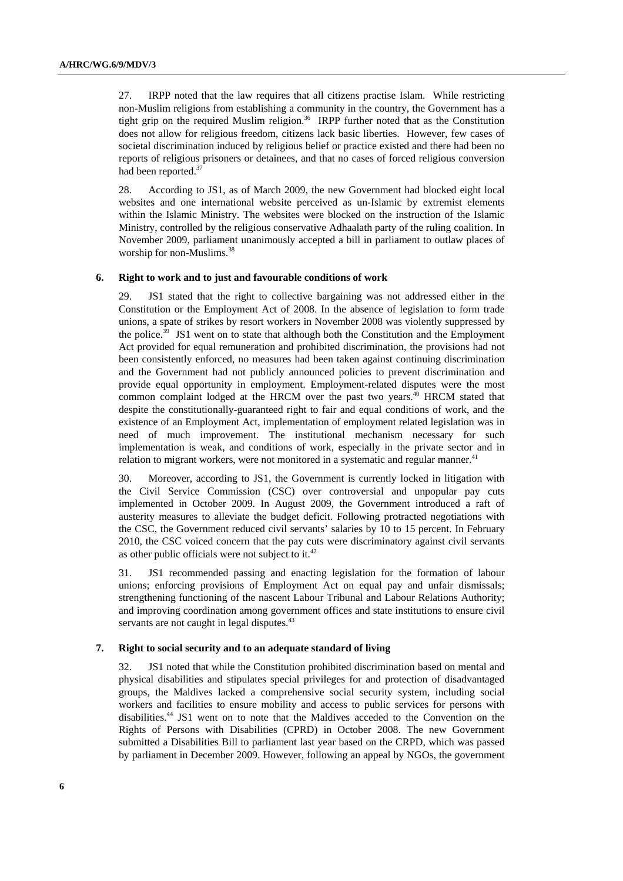27. IRPP noted that the law requires that all citizens practise Islam. While restricting non-Muslim religions from establishing a community in the country, the Government has a tight grip on the required Muslim religion.<sup>36</sup> IRPP further noted that as the Constitution does not allow for religious freedom, citizens lack basic liberties. However, few cases of societal discrimination induced by religious belief or practice existed and there had been no reports of religious prisoners or detainees, and that no cases of forced religious conversion had been reported.<sup>37</sup>

28. According to JS1, as of March 2009, the new Government had blocked eight local websites and one international website perceived as un-Islamic by extremist elements within the Islamic Ministry. The websites were blocked on the instruction of the Islamic Ministry, controlled by the religious conservative Adhaalath party of the ruling coalition. In November 2009, parliament unanimously accepted a bill in parliament to outlaw places of worship for non-Muslims.<sup>38</sup>

#### **6. Right to work and to just and favourable conditions of work**

29. JS1 stated that the right to collective bargaining was not addressed either in the Constitution or the Employment Act of 2008. In the absence of legislation to form trade unions, a spate of strikes by resort workers in November 2008 was violently suppressed by the police.<sup>39</sup> JS1 went on to state that although both the Constitution and the Employment Act provided for equal remuneration and prohibited discrimination, the provisions had not been consistently enforced, no measures had been taken against continuing discrimination and the Government had not publicly announced policies to prevent discrimination and provide equal opportunity in employment. Employment-related disputes were the most common complaint lodged at the HRCM over the past two years.<sup>40</sup> HRCM stated that despite the constitutionally-guaranteed right to fair and equal conditions of work, and the existence of an Employment Act, implementation of employment related legislation was in need of much improvement. The institutional mechanism necessary for such implementation is weak, and conditions of work, especially in the private sector and in relation to migrant workers, were not monitored in a systematic and regular manner.<sup>41</sup>

30. Moreover, according to JS1, the Government is currently locked in litigation with the Civil Service Commission (CSC) over controversial and unpopular pay cuts implemented in October 2009. In August 2009, the Government introduced a raft of austerity measures to alleviate the budget deficit. Following protracted negotiations with the CSC, the Government reduced civil servants' salaries by 10 to 15 percent. In February 2010, the CSC voiced concern that the pay cuts were discriminatory against civil servants as other public officials were not subject to it.<sup>42</sup>

31. JS1 recommended passing and enacting legislation for the formation of labour unions; enforcing provisions of Employment Act on equal pay and unfair dismissals; strengthening functioning of the nascent Labour Tribunal and Labour Relations Authority; and improving coordination among government offices and state institutions to ensure civil servants are not caught in legal disputes.<sup>43</sup>

#### **7. Right to social security and to an adequate standard of living**

32. JS1 noted that while the Constitution prohibited discrimination based on mental and physical disabilities and stipulates special privileges for and protection of disadvantaged groups, the Maldives lacked a comprehensive social security system, including social workers and facilities to ensure mobility and access to public services for persons with disabilities.44 JS1 went on to note that the Maldives acceded to the Convention on the Rights of Persons with Disabilities (CPRD) in October 2008. The new Government submitted a Disabilities Bill to parliament last year based on the CRPD, which was passed by parliament in December 2009. However, following an appeal by NGOs, the government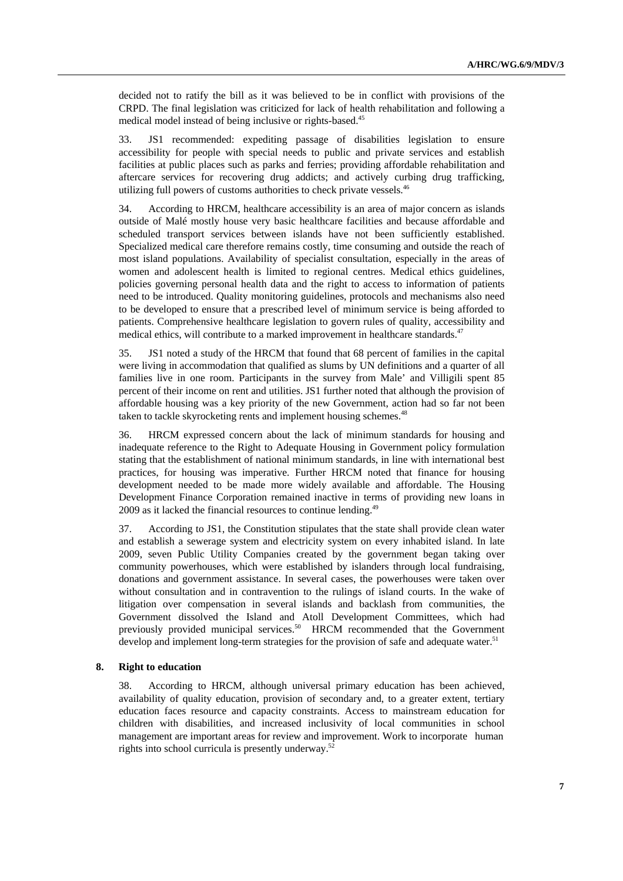decided not to ratify the bill as it was believed to be in conflict with provisions of the CRPD. The final legislation was criticized for lack of health rehabilitation and following a medical model instead of being inclusive or rights-based.45

33. JS1 recommended: expediting passage of disabilities legislation to ensure accessibility for people with special needs to public and private services and establish facilities at public places such as parks and ferries; providing affordable rehabilitation and aftercare services for recovering drug addicts; and actively curbing drug trafficking, utilizing full powers of customs authorities to check private vessels.<sup>46</sup>

34. According to HRCM, healthcare accessibility is an area of major concern as islands outside of Malé mostly house very basic healthcare facilities and because affordable and scheduled transport services between islands have not been sufficiently established. Specialized medical care therefore remains costly, time consuming and outside the reach of most island populations. Availability of specialist consultation, especially in the areas of women and adolescent health is limited to regional centres. Medical ethics guidelines, policies governing personal health data and the right to access to information of patients need to be introduced. Quality monitoring guidelines, protocols and mechanisms also need to be developed to ensure that a prescribed level of minimum service is being afforded to patients. Comprehensive healthcare legislation to govern rules of quality, accessibility and medical ethics, will contribute to a marked improvement in healthcare standards.<sup>47</sup>

35. JS1 noted a study of the HRCM that found that 68 percent of families in the capital were living in accommodation that qualified as slums by UN definitions and a quarter of all families live in one room. Participants in the survey from Male' and Villigili spent 85 percent of their income on rent and utilities. JS1 further noted that although the provision of affordable housing was a key priority of the new Government, action had so far not been taken to tackle skyrocketing rents and implement housing schemes.<sup>48</sup>

36. HRCM expressed concern about the lack of minimum standards for housing and inadequate reference to the Right to Adequate Housing in Government policy formulation stating that the establishment of national minimum standards, in line with international best practices, for housing was imperative. Further HRCM noted that finance for housing development needed to be made more widely available and affordable. The Housing Development Finance Corporation remained inactive in terms of providing new loans in 2009 as it lacked the financial resources to continue lending.<sup>49</sup>

37. According to JS1, the Constitution stipulates that the state shall provide clean water and establish a sewerage system and electricity system on every inhabited island. In late 2009, seven Public Utility Companies created by the government began taking over community powerhouses, which were established by islanders through local fundraising, donations and government assistance. In several cases, the powerhouses were taken over without consultation and in contravention to the rulings of island courts. In the wake of litigation over compensation in several islands and backlash from communities, the Government dissolved the Island and Atoll Development Committees, which had previously provided municipal services.<sup>50</sup> HRCM recommended that the Government develop and implement long-term strategies for the provision of safe and adequate water.<sup>51</sup>

#### **8. Right to education**

38. According to HRCM, although universal primary education has been achieved, availability of quality education, provision of secondary and, to a greater extent, tertiary education faces resource and capacity constraints. Access to mainstream education for children with disabilities, and increased inclusivity of local communities in school management are important areas for review and improvement. Work to incorporate human rights into school curricula is presently underway.52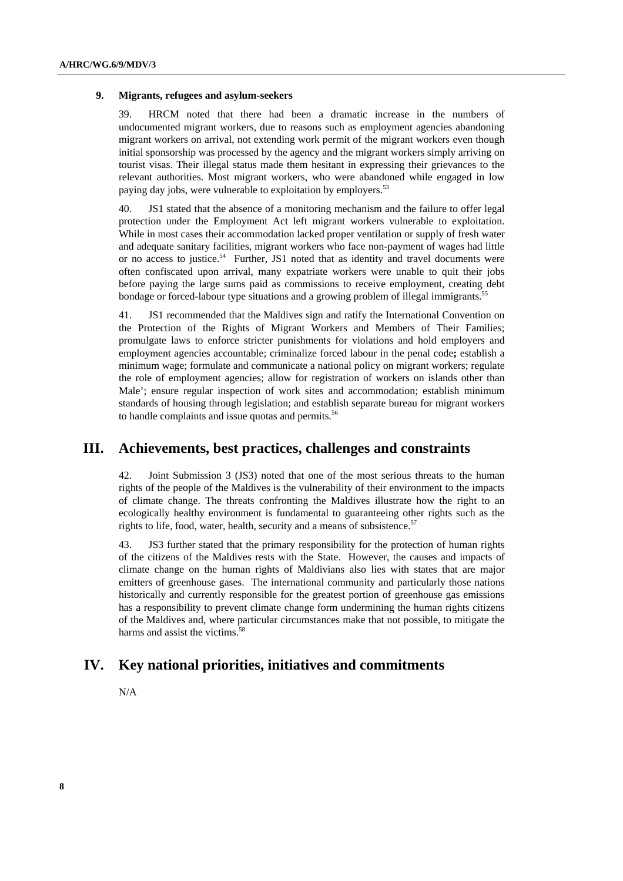#### **9. Migrants, refugees and asylum-seekers**

39. HRCM noted that there had been a dramatic increase in the numbers of undocumented migrant workers, due to reasons such as employment agencies abandoning migrant workers on arrival, not extending work permit of the migrant workers even though initial sponsorship was processed by the agency and the migrant workers simply arriving on tourist visas. Their illegal status made them hesitant in expressing their grievances to the relevant authorities. Most migrant workers, who were abandoned while engaged in low paying day jobs, were vulnerable to exploitation by employers.<sup>53</sup>

40. JS1 stated that the absence of a monitoring mechanism and the failure to offer legal protection under the Employment Act left migrant workers vulnerable to exploitation. While in most cases their accommodation lacked proper ventilation or supply of fresh water and adequate sanitary facilities, migrant workers who face non-payment of wages had little or no access to justice.<sup>54</sup> Further, JS1 noted that as identity and travel documents were often confiscated upon arrival, many expatriate workers were unable to quit their jobs before paying the large sums paid as commissions to receive employment, creating debt bondage or forced-labour type situations and a growing problem of illegal immigrants.<sup>55</sup>

41. JS1 recommended that the Maldives sign and ratify the International Convention on the Protection of the Rights of Migrant Workers and Members of Their Families; promulgate laws to enforce stricter punishments for violations and hold employers and employment agencies accountable; criminalize forced labour in the penal code**;** establish a minimum wage; formulate and communicate a national policy on migrant workers; regulate the role of employment agencies; allow for registration of workers on islands other than Male'; ensure regular inspection of work sites and accommodation; establish minimum standards of housing through legislation; and establish separate bureau for migrant workers to handle complaints and issue quotas and permits.<sup>56</sup>

### **III. Achievements, best practices, challenges and constraints**

42. Joint Submission 3 (JS3) noted that one of the most serious threats to the human rights of the people of the Maldives is the vulnerability of their environment to the impacts of climate change. The threats confronting the Maldives illustrate how the right to an ecologically healthy environment is fundamental to guaranteeing other rights such as the rights to life, food, water, health, security and a means of subsistence.<sup>57</sup>

43. JS3 further stated that the primary responsibility for the protection of human rights of the citizens of the Maldives rests with the State. However, the causes and impacts of climate change on the human rights of Maldivians also lies with states that are major emitters of greenhouse gases. The international community and particularly those nations historically and currently responsible for the greatest portion of greenhouse gas emissions has a responsibility to prevent climate change form undermining the human rights citizens of the Maldives and, where particular circumstances make that not possible, to mitigate the harms and assist the victims.<sup>58</sup>

### **IV. Key national priorities, initiatives and commitments**

N/A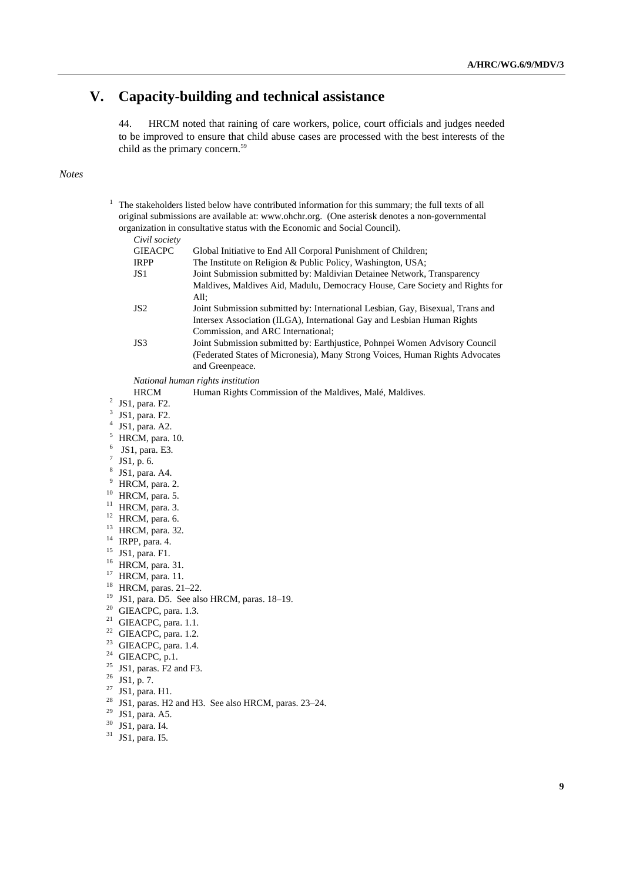# **V. Capacity-building and technical assistance**

44. HRCM noted that raining of care workers, police, court officials and judges needed to be improved to ensure that child abuse cases are processed with the best interests of the child as the primary concern.<sup>59</sup>

#### *Notes*

| 1              | The stakeholders listed below have contributed information for this summary; the full texts of all<br>original submissions are available at: www.ohchr.org. (One asterisk denotes a non-governmental<br>organization in consultative status with the Economic and Social Council).<br>Civil society |                                                                                                                                                                                                         |  |
|----------------|-----------------------------------------------------------------------------------------------------------------------------------------------------------------------------------------------------------------------------------------------------------------------------------------------------|---------------------------------------------------------------------------------------------------------------------------------------------------------------------------------------------------------|--|
|                | <b>GIEACPC</b><br>IRPP<br>JS1                                                                                                                                                                                                                                                                       | Global Initiative to End All Corporal Punishment of Children;<br>The Institute on Religion & Public Policy, Washington, USA;<br>Joint Submission submitted by: Maldivian Detainee Network, Transparency |  |
|                |                                                                                                                                                                                                                                                                                                     | Maldives, Maldives Aid, Madulu, Democracy House, Care Society and Rights for<br>All;                                                                                                                    |  |
|                | JS <sub>2</sub>                                                                                                                                                                                                                                                                                     | Joint Submission submitted by: International Lesbian, Gay, Bisexual, Trans and<br>Intersex Association (ILGA), International Gay and Lesbian Human Rights<br>Commission, and ARC International;         |  |
|                | JS3                                                                                                                                                                                                                                                                                                 | Joint Submission submitted by: Earthjustice, Pohnpei Women Advisory Council<br>(Federated States of Micronesia), Many Strong Voices, Human Rights Advocates<br>and Greenpeace.                          |  |
|                |                                                                                                                                                                                                                                                                                                     | National human rights institution                                                                                                                                                                       |  |
|                | <b>HRCM</b>                                                                                                                                                                                                                                                                                         | Human Rights Commission of the Maldives, Malé, Maldives.                                                                                                                                                |  |
| 2              | JS1, para. F2.                                                                                                                                                                                                                                                                                      |                                                                                                                                                                                                         |  |
| 3              | JS1, para. F2.                                                                                                                                                                                                                                                                                      |                                                                                                                                                                                                         |  |
| $\overline{4}$ | JS1, para. A2.                                                                                                                                                                                                                                                                                      |                                                                                                                                                                                                         |  |
| 5              | HRCM, para. 10.                                                                                                                                                                                                                                                                                     |                                                                                                                                                                                                         |  |
| 6              | JS1, para. E3.                                                                                                                                                                                                                                                                                      |                                                                                                                                                                                                         |  |
| $\tau$         | JS1, p. 6.                                                                                                                                                                                                                                                                                          |                                                                                                                                                                                                         |  |
| 8              | JS1, para. A4.                                                                                                                                                                                                                                                                                      |                                                                                                                                                                                                         |  |
| 9              | HRCM, para. 2.                                                                                                                                                                                                                                                                                      |                                                                                                                                                                                                         |  |
| 10             | HRCM, para. 5.                                                                                                                                                                                                                                                                                      |                                                                                                                                                                                                         |  |
| 11             | HRCM, para. 3.                                                                                                                                                                                                                                                                                      |                                                                                                                                                                                                         |  |
| 12             | HRCM, para. 6.                                                                                                                                                                                                                                                                                      |                                                                                                                                                                                                         |  |
| 13             | HRCM, para. 32.                                                                                                                                                                                                                                                                                     |                                                                                                                                                                                                         |  |
|                | $14$ IRPP, para. 4.                                                                                                                                                                                                                                                                                 |                                                                                                                                                                                                         |  |
| 15             | JS1, para. F1.                                                                                                                                                                                                                                                                                      |                                                                                                                                                                                                         |  |
| 16             | HRCM, para. 31.                                                                                                                                                                                                                                                                                     |                                                                                                                                                                                                         |  |
| 17             | HRCM, para. 11.                                                                                                                                                                                                                                                                                     |                                                                                                                                                                                                         |  |
| 18             | HRCM, paras. 21-22.                                                                                                                                                                                                                                                                                 |                                                                                                                                                                                                         |  |
| 19             | JS1, para. D5. See also HRCM, paras. 18-19.                                                                                                                                                                                                                                                         |                                                                                                                                                                                                         |  |
| 20<br>21       | GIEACPC, para. 1.3.                                                                                                                                                                                                                                                                                 |                                                                                                                                                                                                         |  |
| 22             | GIEACPC, para. 1.1.                                                                                                                                                                                                                                                                                 |                                                                                                                                                                                                         |  |
| 23             | GIEACPC, para. 1.2.                                                                                                                                                                                                                                                                                 |                                                                                                                                                                                                         |  |
| 24             | GIEACPC, para. 1.4.                                                                                                                                                                                                                                                                                 |                                                                                                                                                                                                         |  |
| 25             | GIEACPC, p.1.                                                                                                                                                                                                                                                                                       |                                                                                                                                                                                                         |  |
| 26             | JS1, paras. F2 and F3.                                                                                                                                                                                                                                                                              |                                                                                                                                                                                                         |  |
| 27             | JS1, p. 7.                                                                                                                                                                                                                                                                                          |                                                                                                                                                                                                         |  |
| 28             | JS1, para. H1.                                                                                                                                                                                                                                                                                      |                                                                                                                                                                                                         |  |
| 29             | JS1, paras. H2 and H3. See also HRCM, paras. 23-24.<br>JS1, para. A5.                                                                                                                                                                                                                               |                                                                                                                                                                                                         |  |
| 30             | JS1, para. I4.                                                                                                                                                                                                                                                                                      |                                                                                                                                                                                                         |  |
| 31             | JS1, para. I5.                                                                                                                                                                                                                                                                                      |                                                                                                                                                                                                         |  |
|                |                                                                                                                                                                                                                                                                                                     |                                                                                                                                                                                                         |  |